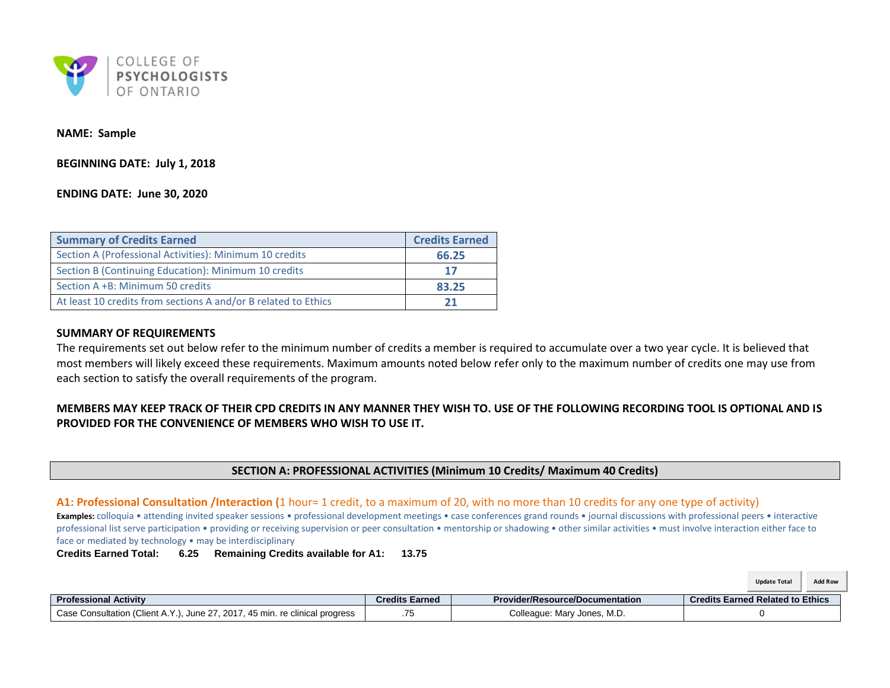

### **NAME: Sample**

**BEGINNING DATE: July 1, 2018**

## <span id="page-0-0"></span>**ENDING DATE: June 30, 2020**

| <b>Summary of Credits Earned</b>                               | <b>Credits Earned</b> |
|----------------------------------------------------------------|-----------------------|
| Section A (Professional Activities): Minimum 10 credits        | 66.25                 |
| Section B (Continuing Education): Minimum 10 credits           | 17                    |
| Section A +B: Minimum 50 credits                               | 83.25                 |
| At least 10 credits from sections A and/or B related to Ethics | 21                    |

### **SUMMARY OF REQUIREMENTS**

The requirements set out below refer to the minimum number of credits a member is required to accumulate over a two year cycle. It is believed that most members will likely exceed these requirements. Maximum amounts noted below refer only to the maximum number of credits one may use from each section to satisfy the overall requirements of the program.

# **MEMBERS MAY KEEP TRACK OF THEIR CPD CREDITS IN ANY MANNER THEY WISH TO. USE OF THE FOLLOWING RECORDING TOOL IS OPTIONAL AND IS PROVIDED FOR THE CONVENIENCE OF MEMBERS WHO WISH TO USE IT.**

## **SECTION A: PROFESSIONAL ACTIVITIES (Minimum 10 Credits/ Maximum 40 Credits)**

### **A1: Professional Consultation /Interaction (**1 hour= 1 credit, to a maximum of 20, with no more than 10 credits for any one type of activity)

**Examples:** colloquia • attending invited speaker sessions • professional development meetings • case conferences grand rounds • journal discussions with professional peers • interactive professional list serve participation • providing or receiving supervision or peer consultation • mentorship or shadowing • other similar activities • must involve interaction either face to face or mediated by technology • may be interdisciplinary

**Credits Earned Total: 6.25 Remaining Credits available for A1: 13.75**

|                                                                              |                       |                                        | <b>Add Row</b><br><b>Update Total</b>   |
|------------------------------------------------------------------------------|-----------------------|----------------------------------------|-----------------------------------------|
| <b>Professional Activity</b>                                                 | <b>Credits Earned</b> | <b>Provider/Resource/Documentation</b> | <b>Credits Earned Related to Ethics</b> |
| Case Consultation (Client A.Y.), June 27, 2017, 45 min. re clinical progress | .75                   | Colleague: Mary Jones, M.D.            |                                         |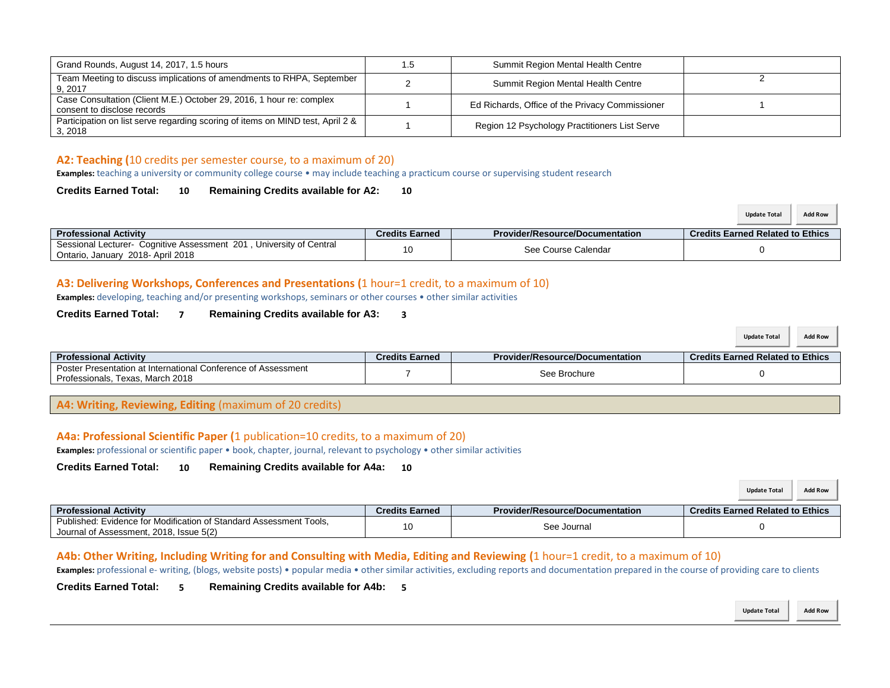| Grand Rounds, August 14, 2017, 1.5 hours                                                            | 1.5 | Summit Region Mental Health Centre              |  |
|-----------------------------------------------------------------------------------------------------|-----|-------------------------------------------------|--|
| Team Meeting to discuss implications of amendments to RHPA, September<br>9, 2017                    |     | Summit Region Mental Health Centre              |  |
| Case Consultation (Client M.E.) October 29, 2016, 1 hour re: complex<br>consent to disclose records |     | Ed Richards, Office of the Privacy Commissioner |  |
| Participation on list serve regarding scoring of items on MIND test, April 2 &<br>3, 2018           |     | Region 12 Psychology Practitioners List Serve   |  |

## **A2: Teaching (**10 credits per semester course, to a maximum of 20)

**Examples:** teaching a university or community college course • may include teaching a practicum course or supervising student research

## **Credits Earned Total: 10 Remaining Credits available for A2: 10**

|                                                                                                          |                       |                                        | <b>Add Row</b><br><b>Update Total</b>   |
|----------------------------------------------------------------------------------------------------------|-----------------------|----------------------------------------|-----------------------------------------|
| <b>Professional Activity</b>                                                                             | <b>Credits Earned</b> | <b>Provider/Resource/Documentation</b> | <b>Credits Earned Related to Ethics</b> |
| Sessional Lecturer- Cognitive Assessment 201, University of Central<br>Ontario, January 2018- April 2018 | 10                    | See Course Calendar                    |                                         |

# **A3: Delivering Workshops, Conferences and Presentations (**1 hour=1 credit, to a maximum of 10)

**Examples:** developing, teaching and/or presenting workshops, seminars or other courses • other similar activities

## **Credits Earned Total: 7 Remaining Credits available for A3: 3**

|                                                                                                   |                       |                                        | <b>Add Row</b><br><b>Update Total</b>   |
|---------------------------------------------------------------------------------------------------|-----------------------|----------------------------------------|-----------------------------------------|
| <b>Professional Activity</b>                                                                      | <b>Credits Earned</b> | <b>Provider/Resource/Documentation</b> | <b>Credits Earned Related to Ethics</b> |
| Poster Presentation at International Conference of Assessment<br>Professionals, Texas, March 2018 |                       | See Brochure                           |                                         |

**A4: Writing, Reviewing, Editing** (maximum of 20 credits)

## **A4a: Professional Scientific Paper (**1 publication=10 credits, to a maximum of 20)

**Examples:** professional or scientific paper • book, chapter, journal, relevant to psychology • other similar activities

**Credits Earned Total: 10 Remaining Credits available for A4a: 10**

|                                                                                                               |                       |                                        | <b>Add Row</b><br><b>Update Total</b>   |
|---------------------------------------------------------------------------------------------------------------|-----------------------|----------------------------------------|-----------------------------------------|
| <b>Professional Activity</b>                                                                                  | <b>Credits Earned</b> | <b>Provider/Resource/Documentation</b> | <b>Credits Earned Related to Ethics</b> |
| Published: Evidence for Modification of Standard Assessment Tools.<br>Journal of Assessment, 2018, Issue 5(2) | 10                    | See Journal                            |                                         |

## **A4b: Other Writing, Including Writing for and Consulting with Media, Editing and Reviewing (**1 hour=1 credit, to a maximum of 10)

Examples: professional e- writing, (blogs, website posts) • popular media • other similar activities, excluding reports and documentation prepared in the course of providing care to clients

**Credits Earned Total: 5 Remaining Credits available for A4b: 5**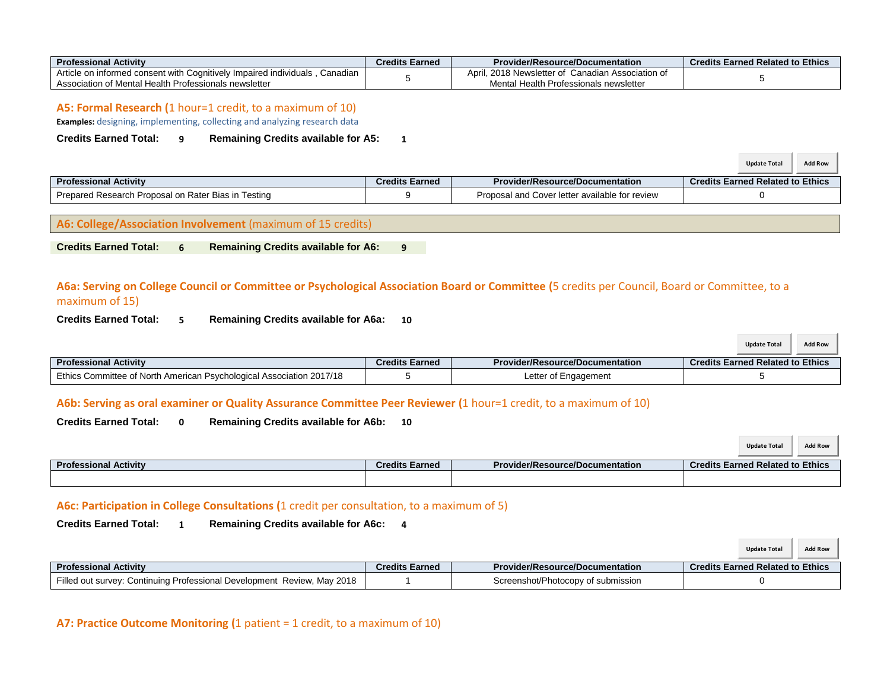| <b>Professional Activity</b>                                                               | <b>Credits Earned</b> | <b>Provider/Resource/Documentation</b>                   | <b>Credits Earned Related to Ethics</b> |
|--------------------------------------------------------------------------------------------|-----------------------|----------------------------------------------------------|-----------------------------------------|
| ) informed consent with Cognitively Impaired individuals .<br>Article<br>Canadian<br>le on |                       | . 2018 Newsletter of<br>April<br>Canadian Association of |                                         |
| Association of Mental Health Professionals newsletter                                      |                       | Mental<br>Health Professionals newsletter                |                                         |

### **A5: Formal Research (**1 hour=1 credit, to a maximum of 10)

**Examples:** designing, implementing, collecting and analyzing research data

## **Credits Earned Total: 9 Remaining Credits available for A5: 1**

|                                                     |                |                                                | <b>Add Row</b><br><b>Update Total</b>   |
|-----------------------------------------------------|----------------|------------------------------------------------|-----------------------------------------|
| <b>Professional Activity</b>                        | Credits Earned | <b>Provider/Resource/Documentation</b>         | <b>Credits Earned Related to Ethics</b> |
| Prepared Research Proposal on Rater Bias in Testing |                | Proposal and Cover letter available for review |                                         |

## **A6: College/Association Involvement** (maximum of 15 credits)

**Credits Earned Total: 6 Remaining Credits available for A6: 9**

# **A6a: Serving on College Council or Committee or Psychological Association Board or Committee (**5 credits per Council, Board or Committee, to a maximum of 15)

**Credits Earned Total: 5 Remaining Credits available for A6a: 10**

|                                                                      |                       |                                        | <b>Add Row</b><br><b>Update Total</b>   |
|----------------------------------------------------------------------|-----------------------|----------------------------------------|-----------------------------------------|
| <b>Professional Activity</b>                                         | <b>Credits Earned</b> | <b>Provider/Resource/Documentation</b> | <b>Credits Earned Related to Ethics</b> |
| Ethics Committee of North American Psychological Association 2017/18 |                       | Letter of Engagement                   |                                         |

# **A6b: Serving as oral examiner or Quality Assurance Committee Peer Reviewer (**1 hour=1 credit, to a maximum of 10)

# **Credits Earned Total: 0 Remaining Credits available for A6b: 10**

|                              |                       |                                        | <b>Add Row</b><br><b>Update Total</b>   |
|------------------------------|-----------------------|----------------------------------------|-----------------------------------------|
| <b>Professional Activity</b> | <b>Credits Earned</b> | <b>Provider/Resource/Documentation</b> | <b>Credits Earned Related to Ethics</b> |
|                              |                       |                                        |                                         |

## **A6c: Participation in College Consultations (**1 credit per consultation, to a maximum of 5)

**Credits Earned Total: 1 Remaining Credits available for A6c: 4**

|                                                                         |                       |                                        | <b>Add Row</b><br><b>Update Total</b>   |
|-------------------------------------------------------------------------|-----------------------|----------------------------------------|-----------------------------------------|
| <b>Professional Activity</b>                                            | <b>Credits Earned</b> | <b>Provider/Resource/Documentation</b> | <b>Credits Earned Related to Ethics</b> |
| Filled out survey: Continuing Professional Development Review, May 2018 |                       | Screenshot/Photocopy of submission     |                                         |

## **A7: Practice Outcome Monitoring (**1 patient = 1 credit, to a maximum of 10)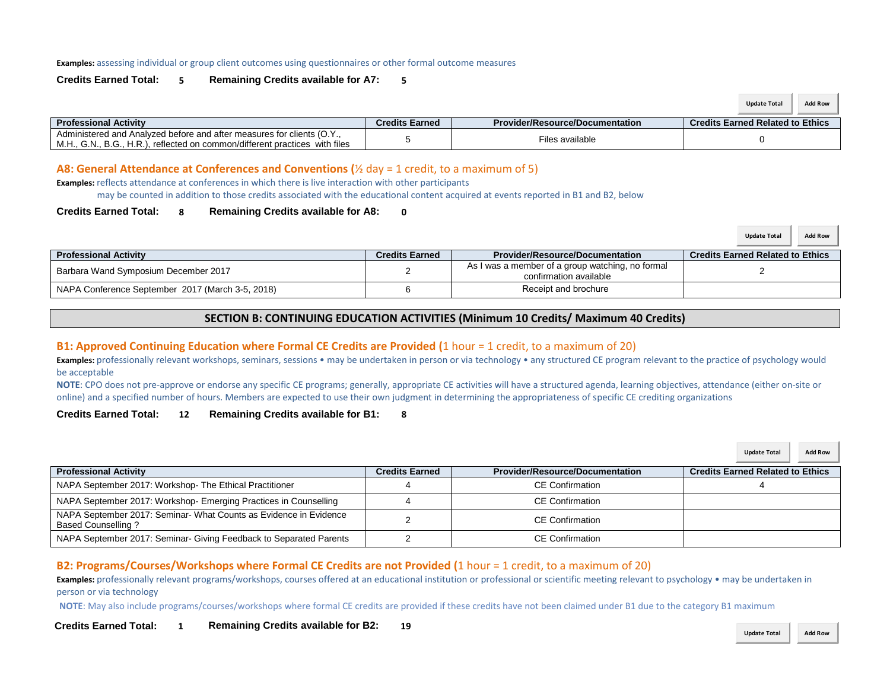#### **Examples:** assessing individual or group client outcomes using questionnaires or other formal outcome measures

### **Credits Earned Total: 5 Remaining Credits available for A7: 5**

|                                                                                                                                                       |                |                                        | <b>Add Row</b><br><b>Update Total</b>   |
|-------------------------------------------------------------------------------------------------------------------------------------------------------|----------------|----------------------------------------|-----------------------------------------|
| <b>Professional Activity</b>                                                                                                                          | Credits Earned | <b>Provider/Resource/Documentation</b> | <b>Credits Earned Related to Ethics</b> |
| Administered and Analyzed before and after measures for clients (O.Y.,<br>M.H., G.N., B.G., H.R.), reflected on common/different practices with files |                | Files available                        |                                         |

### **A8: General Attendance at Conferences and Conventions (**½ day = 1 credit, to a maximum of 5)

**Examples:** reflects attendance at conferences in which there is live interaction with other participants may be counted in addition to those credits associated with the educational content acquired at events reported in B1 and B2, below

#### **Credits Earned Total: 8 Remaining Credits available for A8: 0**

|                                                  |                       |                                                                            | Add Row<br><b>Update Total</b>          |
|--------------------------------------------------|-----------------------|----------------------------------------------------------------------------|-----------------------------------------|
| <b>Professional Activity</b>                     | <b>Credits Earned</b> | <b>Provider/Resource/Documentation</b>                                     | <b>Credits Earned Related to Ethics</b> |
| Barbara Wand Symposium December 2017             |                       | As I was a member of a group watching, no formal<br>confirmation available |                                         |
| NAPA Conference September 2017 (March 3-5, 2018) |                       | Receipt and brochure                                                       |                                         |

## **SECTION B: CONTINUING EDUCATION ACTIVITIES (Minimum 10 Credits/ Maximum 40 Credits)**

## **B1: Approved Continuing Education where Formal CE Credits are Provided (**1 hour = 1 credit, to a maximum of 20)

**Examples:** professionally relevant workshops, seminars, sessions • may be undertaken in person or via technology • any structured CE program relevant to the practice of psychology would be acceptable

**NOTE**: CPO does not pre-approve or endorse any specific CE programs; generally, appropriate CE activities will have a structured agenda, learning objectives, attendance (either on-site or online) and a specified number of hours. Members are expected to use their own judgment in determining the appropriateness of specific CE crediting organizations

### **Credits Earned Total: 12 Remaining Credits available for B1: 8**

|                                                                                                |                       |                                        | <b>Add Row</b><br><b>Update Total</b>   |
|------------------------------------------------------------------------------------------------|-----------------------|----------------------------------------|-----------------------------------------|
| <b>Professional Activity</b>                                                                   | <b>Credits Earned</b> | <b>Provider/Resource/Documentation</b> | <b>Credits Earned Related to Ethics</b> |
| NAPA September 2017: Workshop-The Ethical Practitioner                                         |                       | <b>CE</b> Confirmation                 |                                         |
| NAPA September 2017: Workshop- Emerging Practices in Counselling                               |                       | <b>CE</b> Confirmation                 |                                         |
| NAPA September 2017: Seminar- What Counts as Evidence in Evidence<br><b>Based Counselling?</b> |                       | <b>CE</b> Confirmation                 |                                         |
| NAPA September 2017: Seminar- Giving Feedback to Separated Parents                             |                       | <b>CE Confirmation</b>                 |                                         |

## **B2: Programs/Courses/Workshops where Formal CE Credits are not Provided (**1 hour = 1 credit, to a maximum of 20)

**Examples:** professionally relevant programs/workshops, courses offered at an educational institution or professional or scientific meeting relevant to psychology • may be undertaken in person or via technology

**NOTE**: May also include programs/courses/workshops where formal CE credits are provided if these credits have not been claimed under B1 due to the category B1 maximum

**1 Remaining Credits available for B2: 19 Credits Earned Total:**